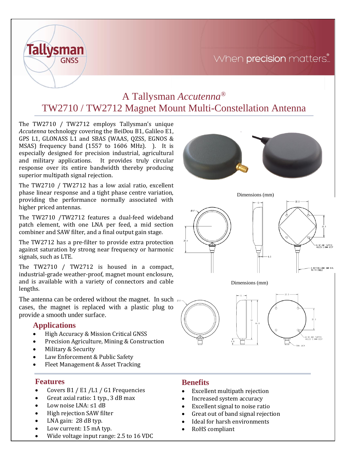# When precision matters...



# A Tallysman *Accutenna®* TW2710 / TW2712 Magnet Mount Multi-Constellation Antenna

The TW2710 / TW2712 employs Tallysman's unique *Accutenna* technology covering the BeiDou B1, Galileo E1, GPS L1, GLONASS L1 and SBAS (WAAS, QZSS, EGNOS & MSAS) frequency band (1557 to 1606 MHz). ). It is especially designed for precision industrial, agricultural and military applications. It provides truly circular response over its entire bandwidth thereby producing superior multipath signal rejection.

The TW2710 / TW2712 has a low axial ratio, excellent phase linear response and a tight phase centre variation, providing the performance normally associated with higher priced antennas.

The TW2710 /TW2712 features a dual-feed wideband patch element, with one LNA per feed, a mid section combiner and SAW filter, and a final output gain stage.

The TW2712 has a pre-filter to provide extra protection against saturation by strong near frequency or harmonic signals, such as LTE.

The TW2710 / TW2712 is housed in a compact, industrial-grade weather-proof, magnet mount enclosure, and is available with a variety of connectors and cable lengths.

The antenna can be ordered without the magnet. In such cases, the magnet is replaced with a plastic plug to provide a smooth under surface.

## **Applications**

- High Accuracy & Mission Critical GNSS
- Precision Agriculture, Mining & Construction
- Military & Security
- Law Enforcement & Public Safety
- Fleet Management & Asset Tracking

### **Features**

- Covers B1 / E1 /L1 / G1 Frequencies
- Great axial ratio: 1 typ., 3 dB max
- Low noise LNA: ≤1 dB
- High rejection SAW filter
- LNA gain: 28 dB typ.
- Low current: 15 mA typ.
- Wide voltage input range: 2.5 to 16 VDC

### **Benefits**

- Excellent multipath rejection
- Increased system accuracy
- Excellent signal to noise ratio
- Great out of band signal rejection
- Ideal for harsh environments
- RoHS compliant